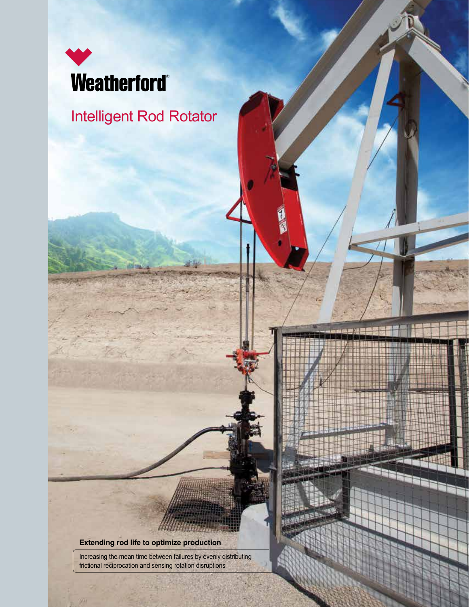

# Intelligent Rod Rotator

### **Extending rod life to optimize production**

Increasing the mean time between failures by evenly distributing frictional reciprocation and sensing rotation disruptions

p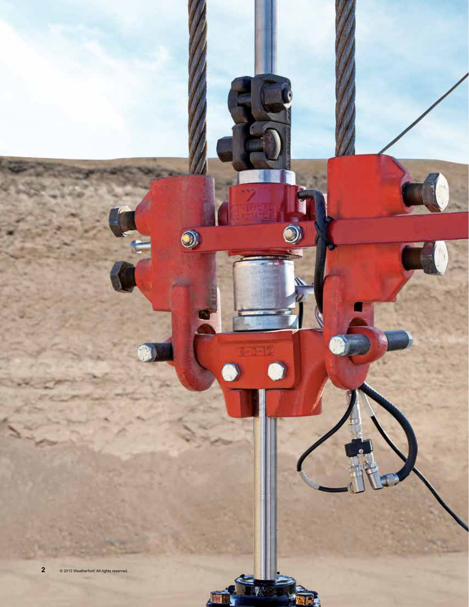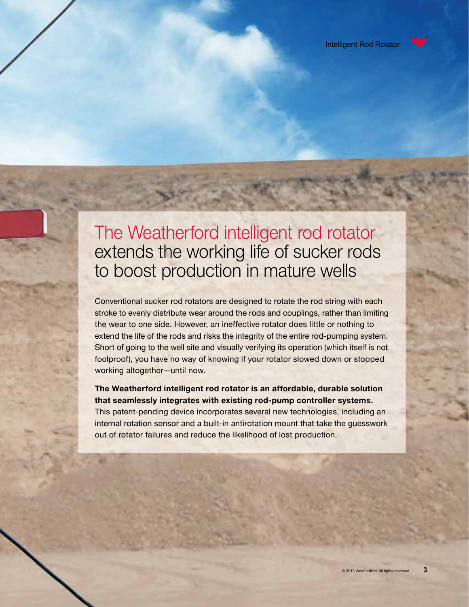

# The Weatherford intelligent rod rotator extends the working life of sucker rods to boost production in mature wells

Conventional sucker rod rotators are designed to rotate the rod string with each stroke to evenly distribute wear around the rods and couplings, rather than limiting the wear to one side. However, an ineffective rotator does little or nothing to extend the life of the rods and risks the integrity of the entire rod-pumping system. Short of going to the well site and visually verifying its operation (which itself is not foolproof), you have no way of knowing if your rotator slowed down or stopped working altogether—until now.

**The Weatherford intelligent rod rotator is an affordable, durable solution that seamlessly integrates with existing rod-pump controller systems.** 

This patent-pending device incorporates several new technologies, including an internal rotation sensor and a built-in antirotation mount that take the guesswork out of rotator failures and reduce the likelihood of lost production.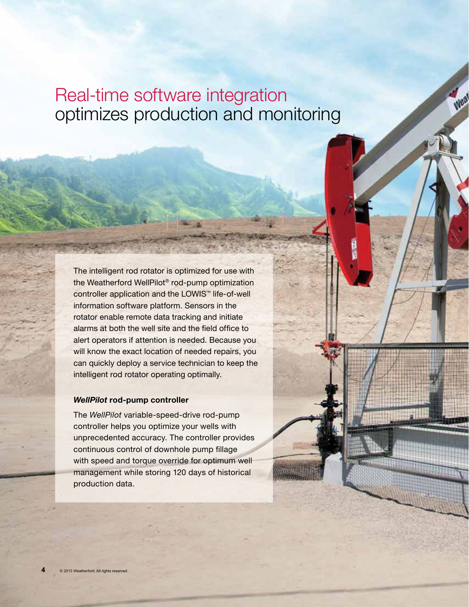# Real-time software integration optimizes production and monitoring

Weat

The intelligent rod rotator is optimized for use with the Weatherford WellPilot® rod-pump optimization controller application and the LOWIS™ life-of-well information software platform. Sensors in the rotator enable remote data tracking and initiate alarms at both the well site and the field office to alert operators if attention is needed. Because you will know the exact location of needed repairs, you can quickly deploy a service technician to keep the intelligent rod rotator operating optimally.

### *WellPilot* **rod-pump controller**

The *WellPilot* variable-speed-drive rod-pump controller helps you optimize your wells with unprecedented accuracy. The controller provides continuous control of downhole pump fillage with speed and torque override for optimum well management while storing 120 days of historical production data.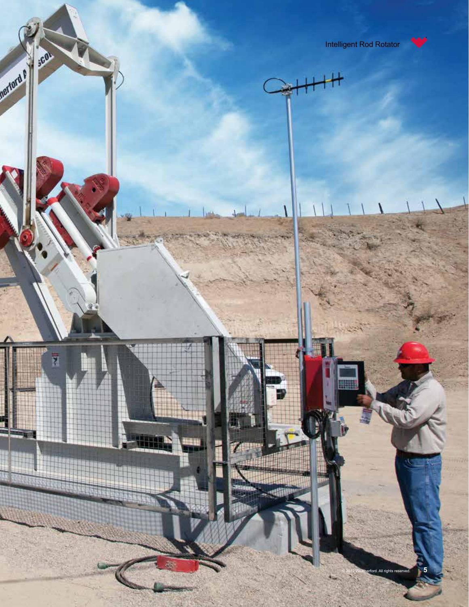

 $\frac{1}{2}$ 





J

Mertand P Scot

7

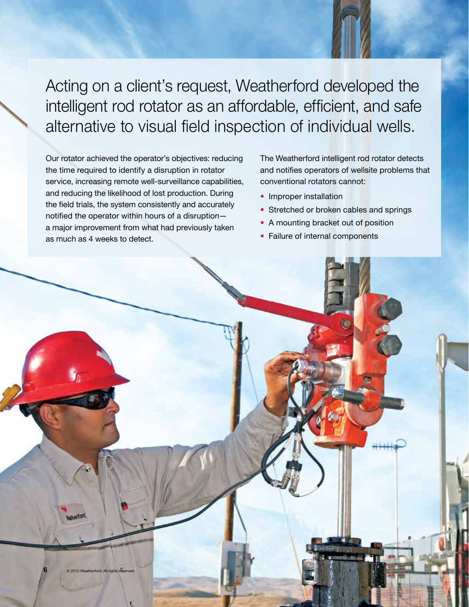Acting on a client's request, Weatherford developed the intelligent rod rotator as an affordable, efficient, and safe alternative to visual field inspection of individual wells.

Our rotator achieved the operator's objectives: reducing the time required to identify a disruption in rotator service, increasing remote well-surveillance capabilities, and reducing the likelihood of lost production. During the field trials, the system consistently and accurately notified the operator within hours of a disruption a major improvement from what had previously taken as much as 4 weeks to detect.

The Weatherford intelligent rod rotator detects and notifies operators of wellsite problems that conventional rotators cannot:

- Improper installation
- Stretched or broken cables and springs
- A mounting bracket out of position
- Failure of internal components

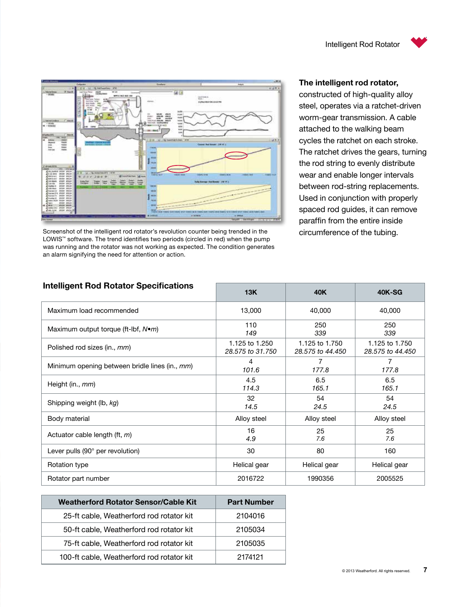



Screenshot of the intelligent rod rotator's revolution counter being trended in the LOWIS<sup>™</sup> software. The trend identifies two periods (circled in red) when the pump was running and the rotator was not working as expected. The condition generates an alarm signifying the need for attention or action.

### **The intelligent rod rotator,**

constructed of high-quality alloy steel, operates via a ratchet-driven worm-gear transmission. A cable attached to the walking beam cycles the ratchet on each stroke. The ratchet drives the gears, turning the rod string to evenly distribute wear and enable longer intervals between rod-string replacements. Used in conjunction with properly spaced rod guides, it can remove paraffin from the entire inside circumference of the tubing.

| <b>Intelligent Rod Rotator Specifications</b> |  |
|-----------------------------------------------|--|
|-----------------------------------------------|--|

|                                                | 13K              | 40K              | <b>40K-SG</b>    |
|------------------------------------------------|------------------|------------------|------------------|
| Maximum load recommended                       | 13,000           | 40,000           | 40,000           |
| Maximum output torque (ft-lbf, $N \cdot m$ )   | 110              | 250              | 250              |
|                                                | 149              | 339              | 339              |
| Polished rod sizes (in., mm)                   | 1.125 to 1.250   | 1.125 to 1.750   | 1.125 to 1.750   |
|                                                | 28.575 to 31.750 | 28.575 to 44.450 | 28.575 to 44.450 |
| Minimum opening between bridle lines (in., mm) | 4                | 7                | 7                |
|                                                | 101.6            | 177.8            | 177.8            |
| Height (in., mm)                               | 4.5              | 6.5              | 6.5              |
|                                                | 114.3            | 165.1            | 165.1            |
| Shipping weight (lb, kg)                       | 32               | 54               | 54               |
|                                                | 14.5             | 24.5             | 24.5             |
| Body material                                  | Alloy steel      | Alloy steel      | Alloy steel      |
| Actuator cable length (ft, $m$ )               | 16               | 25               | 25               |
|                                                | 4.9              | 7.6              | 7.6              |
| Lever pulls (90° per revolution)               | 30               | 80               | 160              |
| Rotation type                                  | Helical gear     | Helical gear     | Helical gear     |
| Rotator part number                            | 2016722          | 1990356          | 2005525          |

| <b>Weatherford Rotator Sensor/Cable Kit</b> | <b>Part Number</b> |
|---------------------------------------------|--------------------|
| 25-ft cable, Weatherford rod rotator kit    | 2104016            |
| 50-ft cable, Weatherford rod rotator kit    | 2105034            |
| 75-ft cable, Weatherford rod rotator kit    | 2105035            |
| 100-ft cable, Weatherford rod rotator kit   | 2174121            |